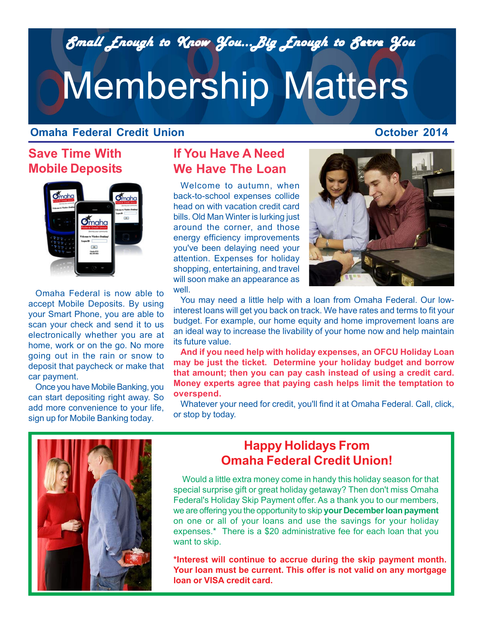*Small Enough to Know You...Big Enough to Serve You Small Enough to Know You...Big Enough to Serve You*

# Membership Matters

#### **Omaha Federal Credit Union**

#### **October 2014**

## **Save Time With Mobile Deposits**



Omaha Federal is now able to accept Mobile Deposits. By using your Smart Phone, you are able to scan your check and send it to us electronically whether you are at home, work or on the go. No more going out in the rain or snow to deposit that paycheck or make that car payment.

Once you have Mobile Banking, you can start depositing right away. So add more convenience to your life, sign up for Mobile Banking today.

## **If You Have A Need We Have The Loan**

Welcome to autumn, when back-to-school expenses collide head on with vacation credit card bills. Old Man Winter is lurking just around the corner, and those energy efficiency improvements you've been delaying need your attention. Expenses for holiday shopping, entertaining, and travel will soon make an appearance as well.



You may need a little help with a loan from Omaha Federal. Our lowinterest loans will get you back on track. We have rates and terms to fit your budget. For example, our home equity and home improvement loans are an ideal way to increase the livability of your home now and help maintain its future value.

**And if you need help with holiday expenses, an OFCU Holiday Loan may be just the ticket. Determine your holiday budget and borrow that amount; then you can pay cash instead of using a credit card. Money experts agree that paying cash helps limit the temptation to overspend.**

Whatever your need for credit, you'll find it at Omaha Federal. Call, click, or stop by today.



## **Happy Holidays From Omaha Federal Credit Union!**

 Would a little extra money come in handy this holiday season for that special surprise gift or great holiday getaway? Then don't miss Omaha Federal's Holiday Skip Payment offer. As a thank you to our members, we are offering you the opportunity to skip **your December loan payment** on one or all of your loans and use the savings for your holiday expenses.\* There is a \$20 administrative fee for each loan that you want to skip.

**\*Interest will continue to accrue during the skip payment month. Your loan must be current. This offer is not valid on any mortgage loan or VISA credit card.**